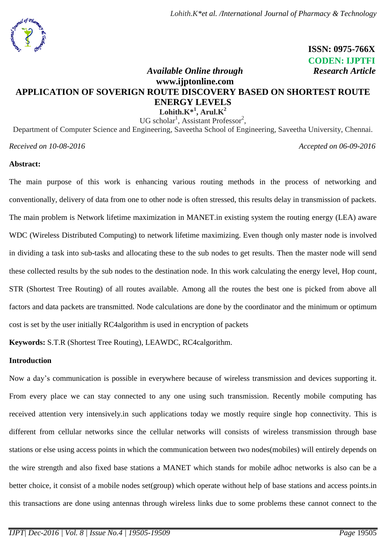

 **ISSN: 0975-766X CODEN: IJPTFI**

# *Available Online through* **Research Article www.ijptonline.com APPLICATION OF SOVERIGN ROUTE DISCOVERY BASED ON SHORTEST ROUTE ENERGY LEVELS**

 $\mathbf{Lohith.K^{*1}, Arul.K^{2}}$ UG scholar<sup>1</sup>, Assistant Professor<sup>2</sup>,

Department of Computer Science and Engineering, Saveetha School of Engineering, Saveetha University, Chennai.

*Received on 10-08-2016 Accepted on 06-09-2016*

### **Abstract:**

The main purpose of this work is enhancing various routing methods in the process of networking and conventionally, delivery of data from one to other node is often stressed, this results delay in transmission of packets. The main problem is Network lifetime maximization in MANET.in existing system the routing energy (LEA) aware WDC (Wireless Distributed Computing) to network lifetime maximizing. Even though only master node is involved in dividing a task into sub-tasks and allocating these to the sub nodes to get results. Then the master node will send these collected results by the sub nodes to the destination node. In this work calculating the energy level, Hop count, STR (Shortest Tree Routing) of all routes available. Among all the routes the best one is picked from above all factors and data packets are transmitted. Node calculations are done by the coordinator and the minimum or optimum cost is set by the user initially RC4algorithm is used in encryption of packets

**Keywords:** S.T.R (Shortest Tree Routing), LEAWDC, RC4calgorithm.

### **Introduction**

Now a day's communication is possible in everywhere because of wireless transmission and devices supporting it. From every place we can stay connected to any one using such transmission. Recently mobile computing has received attention very intensively.in such applications today we mostly require single hop connectivity. This is different from cellular networks since the cellular networks will consists of wireless transmission through base stations or else using access points in which the communication between two nodes(mobiles) will entirely depends on the wire strength and also fixed base stations a MANET which stands for mobile adhoc networks is also can be a better choice, it consist of a mobile nodes set(group) which operate without help of base stations and access points.in this transactions are done using antennas through wireless links due to some problems these cannot connect to the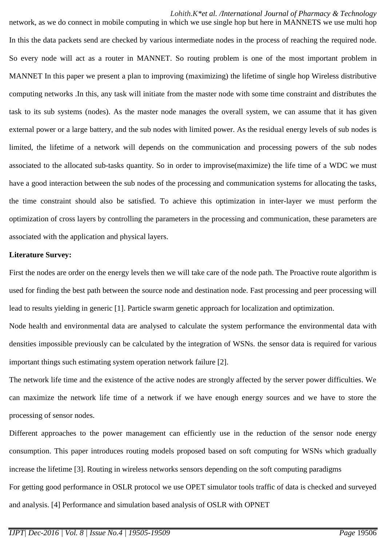#### *Lohith.K\*et al. /International Journal of Pharmacy & Technology*

network, as we do connect in mobile computing in which we use single hop but here in MANNETS we use multi hop In this the data packets send are checked by various intermediate nodes in the process of reaching the required node. So every node will act as a router in MANNET. So routing problem is one of the most important problem in MANNET In this paper we present a plan to improving (maximizing) the lifetime of single hop Wireless distributive computing networks .In this, any task will initiate from the master node with some time constraint and distributes the task to its sub systems (nodes). As the master node manages the overall system, we can assume that it has given external power or a large battery, and the sub nodes with limited power. As the residual energy levels of sub nodes is limited, the lifetime of a network will depends on the communication and processing powers of the sub nodes associated to the allocated sub-tasks quantity. So in order to improvise(maximize) the life time of a WDC we must have a good interaction between the sub nodes of the processing and communication systems for allocating the tasks, the time constraint should also be satisfied. To achieve this optimization in inter-layer we must perform the optimization of cross layers by controlling the parameters in the processing and communication, these parameters are associated with the application and physical layers.

#### **Literature Survey:**

First the nodes are order on the energy levels then we will take care of the node path. The Proactive route algorithm is used for finding the best path between the source node and destination node. Fast processing and peer processing will lead to results yielding in generic [1]. Particle swarm genetic approach for localization and optimization.

Node health and environmental data are analysed to calculate the system performance the environmental data with densities impossible previously can be calculated by the integration of WSNs. the sensor data is required for various important things such estimating system operation network failure [2].

The network life time and the existence of the active nodes are strongly affected by the server power difficulties. We can maximize the network life time of a network if we have enough energy sources and we have to store the processing of sensor nodes.

Different approaches to the power management can efficiently use in the reduction of the sensor node energy consumption. This paper introduces routing models proposed based on soft computing for WSNs which gradually increase the lifetime [3]. Routing in wireless networks sensors depending on the soft computing paradigms For getting good performance in OSLR protocol we use OPET simulator tools traffic of data is checked and surveyed and analysis. [4] Performance and simulation based analysis of OSLR with OPNET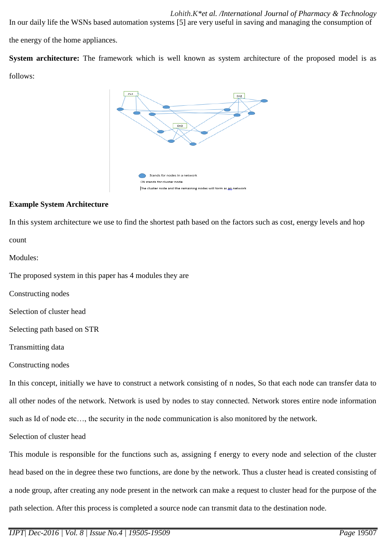In our daily life the WSNs based automation systems [5] are very useful in saving and managing the consumption of the energy of the home appliances.

**System architecture:** The framework which is well known as system architecture of the proposed model is as follows:



### **Example System Architecture**

In this system architecture we use to find the shortest path based on the factors such as cost, energy levels and hop

count

Modules:

The proposed system in this paper has 4 modules they are

Constructing nodes

Selection of cluster head

Selecting path based on STR

Transmitting data

Constructing nodes

In this concept, initially we have to construct a network consisting of n nodes, So that each node can transfer data to all other nodes of the network. Network is used by nodes to stay connected. Network stores entire node information such as Id of node etc…, the security in the node communication is also monitored by the network.

Selection of cluster head

This module is responsible for the functions such as, assigning f energy to every node and selection of the cluster head based on the in degree these two functions, are done by the network. Thus a cluster head is created consisting of a node group, after creating any node present in the network can make a request to cluster head for the purpose of the path selection. After this process is completed a source node can transmit data to the destination node.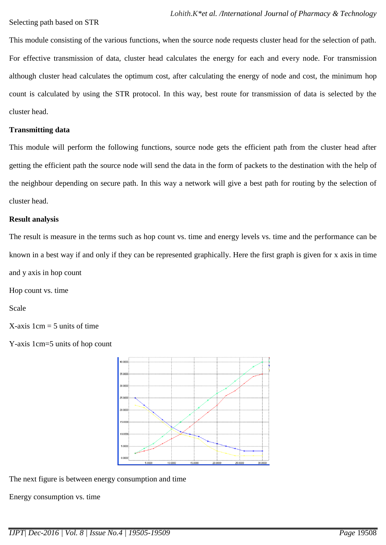This module consisting of the various functions, when the source node requests cluster head for the selection of path. For effective transmission of data, cluster head calculates the energy for each and every node. For transmission although cluster head calculates the optimum cost, after calculating the energy of node and cost, the minimum hop count is calculated by using the STR protocol. In this way, best route for transmission of data is selected by the cluster head.

### **Transmitting data**

This module will perform the following functions, source node gets the efficient path from the cluster head after getting the efficient path the source node will send the data in the form of packets to the destination with the help of the neighbour depending on secure path. In this way a network will give a best path for routing by the selection of cluster head.

### **Result analysis**

The result is measure in the terms such as hop count vs. time and energy levels vs. time and the performance can be known in a best way if and only if they can be represented graphically. Here the first graph is given for x axis in time and y axis in hop count

Hop count vs. time

Scale

 $X$ -axis 1cm = 5 units of time

Y-axis 1cm=5 units of hop count



The next figure is between energy consumption and time

Energy consumption vs. time